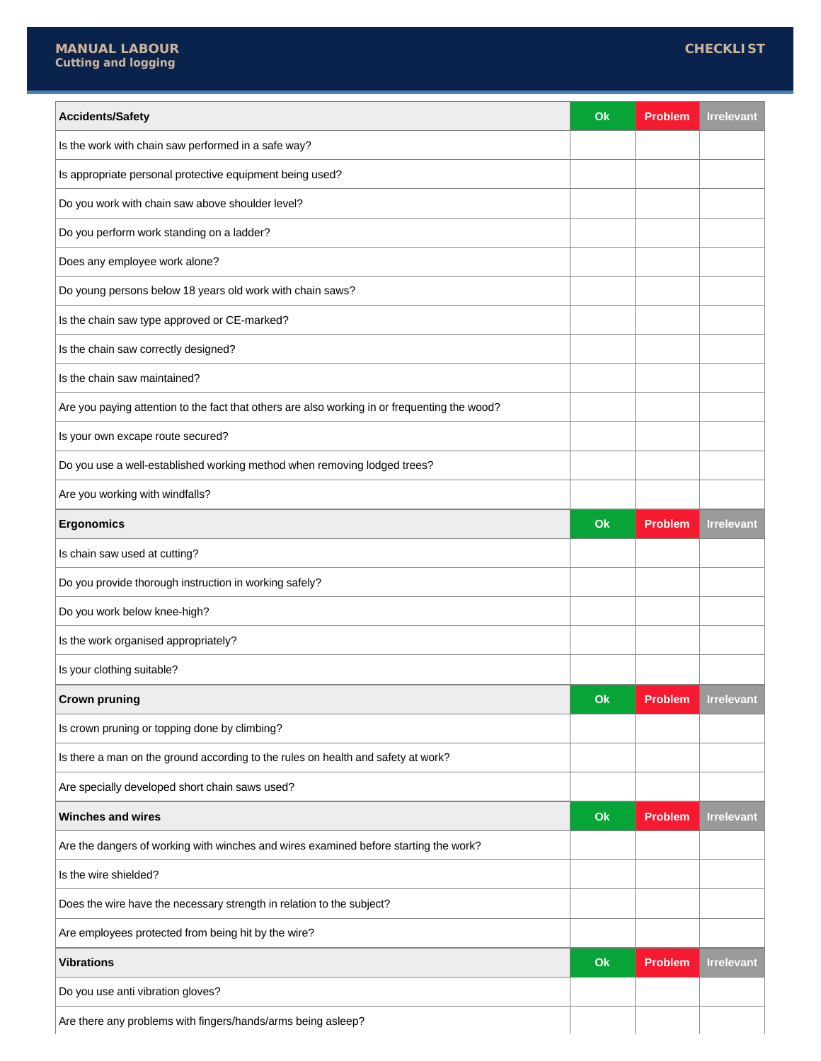$\overline{\phantom{a}}$ 

| Accidents/Safety                                                                              | Ok | <b>Problem</b> | <b>Irrelevant</b> |
|-----------------------------------------------------------------------------------------------|----|----------------|-------------------|
| Is the work with chain saw performed in a safe way?                                           |    |                |                   |
| Is appropriate personal protective equipment being used?                                      |    |                |                   |
| Do you work with chain saw above shoulder level?                                              |    |                |                   |
| Do you perform work standing on a ladder?                                                     |    |                |                   |
| Does any employee work alone?                                                                 |    |                |                   |
| Do young persons below 18 years old work with chain saws?                                     |    |                |                   |
| Is the chain saw type approved or CE-marked?                                                  |    |                |                   |
| Is the chain saw correctly designed?                                                          |    |                |                   |
| Is the chain saw maintained?                                                                  |    |                |                   |
| Are you paying attention to the fact that others are also working in or frequenting the wood? |    |                |                   |
| Is your own excape route secured?                                                             |    |                |                   |
| Do you use a well-established working method when removing lodged trees?                      |    |                |                   |
| Are you working with windfalls?                                                               |    |                |                   |
| <b>Ergonomics</b>                                                                             | Ok | <b>Problem</b> | <b>Irrelevant</b> |
| Is chain saw used at cutting?                                                                 |    |                |                   |
| Do you provide thorough instruction in working safely?                                        |    |                |                   |
| Do you work below knee-high?                                                                  |    |                |                   |
| Is the work organised appropriately?                                                          |    |                |                   |
| Is your clothing suitable?                                                                    |    |                |                   |
| <b>Crown pruning</b>                                                                          | Ok | <b>Problem</b> | <b>Irrelevant</b> |
| Is crown pruning or topping done by climbing?                                                 |    |                |                   |
| Is there a man on the ground according to the rules on health and safety at work?             |    |                |                   |
| Are specially developed short chain saws used?                                                |    |                |                   |
| <b>Winches and wires</b>                                                                      | Ok | <b>Problem</b> | <b>Irrelevant</b> |
| Are the dangers of working with winches and wires examined before starting the work?          |    |                |                   |
| Is the wire shielded?                                                                         |    |                |                   |
| Does the wire have the necessary strength in relation to the subject?                         |    |                |                   |
| Are employees protected from being hit by the wire?                                           |    |                |                   |
| <b>Vibrations</b>                                                                             | Ok | <b>Problem</b> | <b>Irrelevant</b> |
| Do you use anti vibration gloves?                                                             |    |                |                   |
| Are there any problems with fingers/hands/arms being asleep?                                  |    |                |                   |